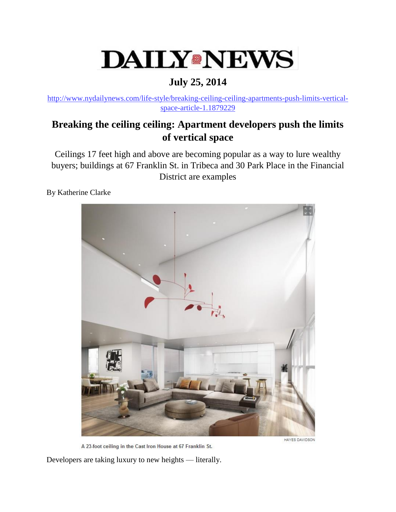## **DAILY®NEWS**

## **July 25, 2014**

[http://www.nydailynews.com/life-style/breaking-ceiling-ceiling-apartments-push-limits-vertical](http://www.nydailynews.com/life-style/breaking-ceiling-ceiling-apartments-push-limits-vertical-space-article-1.1879229)[space-article-1.1879229](http://www.nydailynews.com/life-style/breaking-ceiling-ceiling-apartments-push-limits-vertical-space-article-1.1879229)

## **Breaking the ceiling ceiling: Apartment developers push the limits of vertical space**

Ceilings 17 feet high and above are becoming popular as a way to lure wealthy buyers; buildings at 67 Franklin St. in Tribeca and 30 Park Place in the Financial District are examples

By Katherine Clarke



A 23-foot ceiling in the Cast Iron House at 67 Franklin St.

HAYES DAVIDSON

Developers are taking luxury to new heights — literally.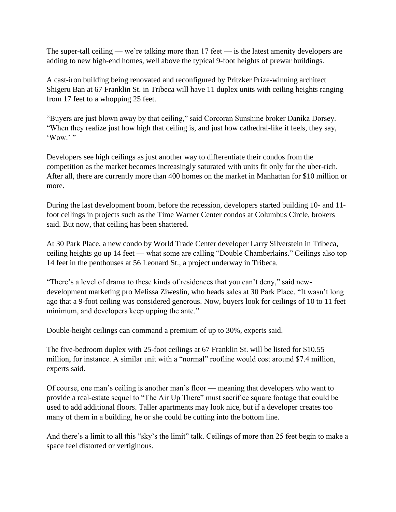The super-tall ceiling — we're talking more than 17 feet — is the latest amenity developers are adding to new high-end homes, well above the typical 9-foot heights of prewar buildings.

A cast-iron building being renovated and reconfigured by Pritzker Prize-winning architect Shigeru Ban at 67 Franklin St. in Tribeca will have 11 duplex units with ceiling heights ranging from 17 feet to a whopping 25 feet.

"Buyers are just blown away by that ceiling," said Corcoran Sunshine broker Danika Dorsey. "When they realize just how high that ceiling is, and just how cathedral-like it feels, they say,  $Wow$ .

Developers see high ceilings as just another way to differentiate their condos from the competition as the market becomes increasingly saturated with units fit only for the uber-rich. After all, there are currently more than 400 homes on the market in Manhattan for \$10 million or more.

During the last development boom, before the recession, developers started building 10- and 11 foot ceilings in projects such as the Time Warner Center condos at Columbus Circle, brokers said. But now, that ceiling has been shattered.

At 30 Park Place, a new condo by World Trade Center developer Larry Silverstein in Tribeca, ceiling heights go up 14 feet — what some are calling "Double Chamberlains." Ceilings also top 14 feet in the penthouses at 56 Leonard St., a project underway in Tribeca.

"There's a level of drama to these kinds of residences that you can't deny," said newdevelopment marketing pro Melissa Ziweslin, who heads sales at 30 Park Place. "It wasn't long ago that a 9-foot ceiling was considered generous. Now, buyers look for ceilings of 10 to 11 feet minimum, and developers keep upping the ante."

Double-height ceilings can command a premium of up to 30%, experts said.

The five-bedroom duplex with 25-foot ceilings at 67 Franklin St. will be listed for \$10.55 million, for instance. A similar unit with a "normal" roofline would cost around \$7.4 million, experts said.

Of course, one man's ceiling is another man's floor — meaning that developers who want to provide a real-estate sequel to "The Air Up There" must sacrifice square footage that could be used to add additional floors. Taller apartments may look nice, but if a developer creates too many of them in a building, he or she could be cutting into the bottom line.

And there's a limit to all this "sky's the limit" talk. Ceilings of more than 25 feet begin to make a space feel distorted or vertiginous.